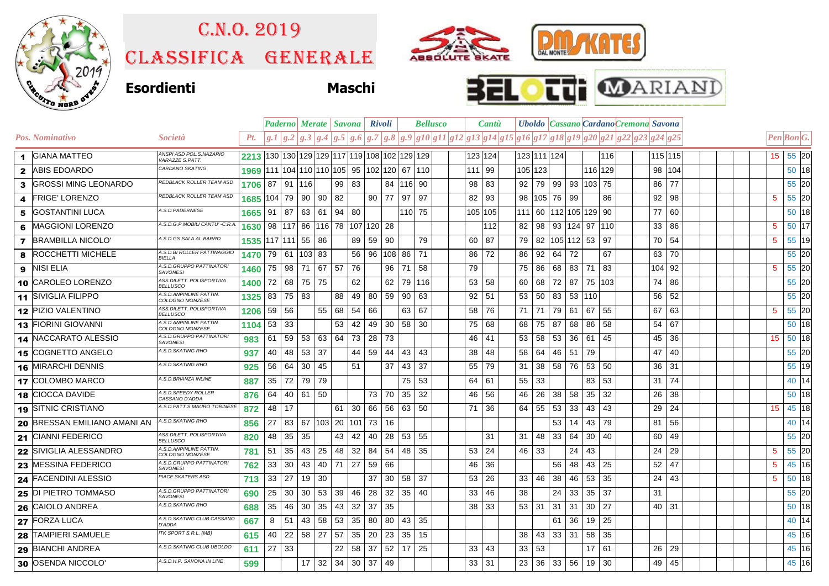

## C.n.o. 2019

Classifica generale







|              |                             |                                             |         |     |          | Paderno Merate   Savona                                   |              |                 |                           | <b>Rivoli</b> |        |           | <b>Bellusco</b> |                 | <b>Cantu</b> |     |         |                       |               | <b>Uboldo Cassano Cardano Cremona Savona</b>                           |        |         |  |                  |            |         |  |
|--------------|-----------------------------|---------------------------------------------|---------|-----|----------|-----------------------------------------------------------|--------------|-----------------|---------------------------|---------------|--------|-----------|-----------------|-----------------|--------------|-----|---------|-----------------------|---------------|------------------------------------------------------------------------|--------|---------|--|------------------|------------|---------|--|
|              | Pos. Nominativo             | Società                                     | Pt.     |     | g.1  g.2 | g.3   g.4                                                 | $ g_{\cdot}$ | $g_{\cdot}$     |                           | g.7   g.8     |        |           |                 |                 |              |     |         |                       |               | $ g.9 g10 g11 g12 g13 g14 g15 g16 g17 g18 g19 g20 g21 g22 g23 g24 g25$ |        |         |  |                  | Pen Bon G. |         |  |
| 1            | <b>GIANA MATTEO</b>         | ANSPI ASD POL.S.NAZARIO<br>VARAZZE S.PATT.  | 2213    |     |          | 130   130   129   129   117   119   108   102   129   129 |              |                 |                           |               |        |           |                 |                 | 123 124      |     |         | 123 111 124           |               | 116                                                                    |        | 115 115 |  | 15 <sub>15</sub> |            | 55 20   |  |
| $\mathbf{2}$ | <b>ABIS EDOARDO</b>         | CARDANO SKATING                             | 1969    |     |          | 111 104 110 110 105                                       |              |                 | 95   102   120   67   110 |               |        |           |                 | 111 99          |              |     | 105 123 |                       |               | 116 129                                                                | 98     | 104     |  |                  |            | 50 18   |  |
| 3            | <b>GROSSI MING LEONARDO</b> | REDBLACK ROLLER TEAM ASD                    | 1706 87 |     |          | 91 116                                                    | 99           | 83              |                           |               |        | 84 116 90 |                 | 98              | 83           | 92  | 79      | 99                    | 93   103   75 |                                                                        | 86     | 77      |  |                  |            | 55 20   |  |
| 4            | <b>FRIGE' LORENZO</b>       | REDBLACK ROLLER TEAM ASD                    | 1685    | 104 | 79       | 90<br>90                                                  | 82           |                 | 90                        | 77            | 97     | 97        |                 | 82              | 93           | 98  | 105     | 76<br>99              |               | 86                                                                     | 92     | 98      |  | $5\phantom{.0}$  |            | 55 20   |  |
| 5            | <b>GOSTANTINI LUCA</b>      | A.S.D.PADERNESE                             | 1665    | 91  | 87       | 63<br>61                                                  | 94           | 80              |                           |               |        | 110 75    |                 |                 | 105 105      | 111 | 60      | 112 105 129 90        |               |                                                                        | 77     | 60      |  |                  |            | 50 18   |  |
| 6            | <b>MAGGIONI LORENZO</b>     | A.S.D.G.P.MOBILI CANTU' -C.R.A.             | 1630    | 98  | 117      | 86                                                        | 116 78       |                 | 107 120 28                |               |        |           |                 |                 | 112          | 82  | 98      | 93   124   97   110   |               |                                                                        | 33     | 86      |  | 5                |            | 50 17   |  |
| 7            | <b>BRAMBILLA NICOLO'</b>    | A.S.D.GS SALA AL BARRO                      | 1535    |     | 117 111  | 55<br>86                                                  |              | 89              | 59                        | 90            |        | 79        |                 | 60              | 87           | 79  | 82      | 105 112 53            |               | 97                                                                     | 70     | 54      |  | 5                |            | 55 19   |  |
| 8            | <b>ROCCHETTI MICHELE</b>    | A.S.D.BI ROLLER PATTINAGGIO<br>BIELLA       | 1470    | 79  | 61       | 103<br>83                                                 |              | 56              | 96                        |               | 108 86 | 71        |                 | 86              | 72           | 86  | 92      | 72<br>64              |               | 67                                                                     | 63     | 70      |  |                  |            | 55 20   |  |
| 9            | <b>NISI ELIA</b>            | A.S.D.GRUPPO PATTINATORI<br><b>SAVONESI</b> | 1460    | 75  | 98       | 71<br>67                                                  | 57           | 76              |                           | 96            | 71     | 58        |                 | 79              |              | 75  | 86      | 68<br>83              | 71            | 83                                                                     | 104 92 |         |  | 5                |            | 55 20   |  |
| 10           | <b>CAROLEO LORENZO</b>      | ASS.DILETT. POLISPORTIVA<br><b>BELLUSCO</b> | 1400    | 72  | 68       | 75<br>75                                                  |              | 62              |                           | 62            | 79     | 116       |                 | 53              | 58           | 60  | 68      | 72<br>87              |               | 75 103                                                                 | 74     | 86      |  |                  |            | 55 20   |  |
|              | 11 SIVIGLIA FILIPPO         | A.S.D. ANPINLINE PATTIN.<br>COLOGNO MONZESE | 1325    | 83  | 75       | 83                                                        | 88           | 49              | 80                        | 59            | 90     | 63        |                 | 92              | 51           | 53  | 50      | 83                    | 53 110        |                                                                        | 56     | 52      |  |                  |            | 55 20   |  |
|              | 12 PIZIO VALENTINO          | ASS.DILETT. POLISPORTIVA<br><b>BELLUSCO</b> | 1206    | 59  | 56       | 55                                                        | 68           | 54              | 66                        |               | 63     | 67        |                 | 58              | 76           | 71  | 71      | 79<br>61              | 67            | 55                                                                     | 67     | 63      |  | 5                |            | 55 20   |  |
|              | 13 FIORINI GIOVANNI         | A.S.D. ANPINLINE PATTIN.<br>COLOGNO MONZESE | 1104    | 53  | 33       |                                                           | 53           | 42              | 49                        | 30            | 58     | 30        |                 | 75              | 68           | 68  | 75      | 87<br>68              | 86            | 58                                                                     | 54     | 67      |  |                  |            | 50 18   |  |
| 14           | INACCARATO ALESSIO          | A.S.D.GRUPPO PATTINATORI<br><b>SAVONESI</b> | 983     | 61  | 59       | 53<br>63                                                  | 64           | 73              | 28                        | 73            |        |           |                 | 46              | 41           | 53  | 58      | 53<br>36              | 61            | 45                                                                     | 45     | 36      |  | 15               | 50         | 18      |  |
| 15           | <b>ICOGNETTO ANGELO</b>     | A.S.D.SKATING RHO                           | 937     | 40  | 48       | 53<br>-37                                                 |              | 44              | 59                        | 44            | 43     | 43        |                 | 38              | 48           | 58  | 64      | 46<br>-51             | 79            |                                                                        | 47     | 40      |  |                  |            | 55 20   |  |
| 16           | <b>MIRARCHI DENNIS</b>      | A.S.D.SKATING RHO                           | 925     | 56  | 64       | 30<br>45                                                  |              | 51              |                           | 37            | 43     | 37        |                 | 55              | 79           | 31  | 38      | 76<br>58              | 53            | 50                                                                     | 36     | 31      |  |                  |            | 55 19   |  |
| 17           | <b>COLOMBO MARCO</b>        | A.S.D.BRIANZA INLINE                        | 887     | 35  | 72       | 79<br>79                                                  |              |                 |                           |               | 75     | 53        |                 | 64              | 61           | 55  | 33      |                       | 83            | 53                                                                     | 31     | 74      |  |                  |            | 40 14   |  |
|              | 18 CIOCCA DAVIDE            | A.S.D.SPEEDY ROLLER<br>CASSANO D'ADDA       | 876     | 64  | 40       | 50<br>61                                                  |              |                 | 73                        | 70            | 35     | 32        |                 | 46              | 56           | 46  | 26      | 38<br>58              | 35            | 32                                                                     | 26     | 38      |  |                  |            | 50 18   |  |
|              | 19 SITNIC CRISTIANO         | A.S.D.PATT.S.MAURO TORINESE                 | 872     | 48  | 17       |                                                           | 61           | 30              | 66                        | 56            | 63     | 50        |                 | 71              | 36           | 64  | 55      | 33<br>53              | 43            | 43                                                                     | 29     | 24      |  | 15               |            | 45 18   |  |
| 20           | BRESSAN EMILIANO AMANI AN   | A.S.D.SKATING RHO                           | 856     | 27  | 83       | 67<br>103                                                 | -20          | 101             | 73                        | 16            |        |           |                 |                 |              |     |         | 53<br>14              | 43            | 79                                                                     | 81     | 56      |  |                  |            | 40 14   |  |
| 21           | <b>CIANNI FEDERICO</b>      | ASS.DILETT. POLISPORTIVA<br><b>BELLUSCO</b> | 820     | 48  | 35       | 35                                                        | 43           | 42              | 40                        | 28            | 53     | 55        |                 |                 | 31           | 31  | 48      | 33<br>64              | 30            | 40                                                                     | 60     | 49      |  |                  |            | 55 20   |  |
| 22           | <b>SIVIGLIA ALESSANDRO</b>  | A.S.D. ANPINLINE PATTIN.<br>COLOGNO MONZESE | 781     | 51  | 35       | 25<br>43                                                  | 48           | 32              | 84                        | 54            | 48     | 35        |                 |                 | 53 24        | 46  | 33      | 24                    | 43            |                                                                        | 24     | 29      |  | 5                |            | 55 20   |  |
| 23           | <b>MESSINA FEDERICO</b>     | A.S.D.GRUPPO PATTINATORI<br><b>SAVONESI</b> | 762.    | 33  | 30       | 43<br>40                                                  | 71           | 27              | 59                        | 66            |        |           |                 | 46              | 36           |     |         | 56<br>48              | 43            | 25                                                                     | 52     | 47      |  | 5                |            | 45 16   |  |
|              | 24 FACENDINI ALESSIO        | <b>PIACE SKATERS ASD</b>                    | 713     | 33  | 27       | 19<br>30                                                  |              |                 | 37                        | 30            | 58     | -37       |                 | 53              | 26           | 33  | 46      | 38<br>46              | 53            | 35                                                                     | 24     | 43      |  | 5                |            | 50 18   |  |
| 25           | <b>DI PIETRO TOMMASO</b>    | A.S.D.GRUPPO PATTINATORI<br><b>SAVONESI</b> | 690     | 25  | 30       | 53<br>30                                                  | 39           | 46              | 28                        | 32            | 35     | 40        |                 | 33              | 46           | 38  |         | 33<br>24              | 35            | 37                                                                     | 31     |         |  |                  |            | 55 20   |  |
| 26           | <b>CAIOLO ANDREA</b>        | A.S.D.SKATING RHO                           | 688     | 35  | 46       | 30<br>35                                                  | 43           | 32              | 37                        | 35            |        |           |                 | 38 <sup>1</sup> | 33           | 53  | 31      | 31<br>31              | 30            | 27                                                                     | 40     | 31      |  |                  |            | $50$ 18 |  |
| 27           | <b>FORZA LUCA</b>           | A.S.D.SKATING CLUB CASSANO<br>D'ADDA        | 667     | 8   | 51       | 58<br>43                                                  | 53           | 35              | 80                        | 80            | 43     | 35        |                 |                 |              |     |         | 36<br>61              | 19            | 25                                                                     |        |         |  |                  |            | 40 14   |  |
| 28           | <b>ITAMPIERI SAMUELE</b>    | ITK SPORT S.R.L. (MB)                       | 615     | 40  | 22       | 27<br>58                                                  | 57           | 35              | 20                        | 23            | 35     | 15        |                 |                 |              | 38  | 43      | 33<br>-31             | 58            | 35                                                                     |        |         |  |                  |            | 45 16   |  |
| 29           | <b>BIANCHI ANDREA</b>       | A.S.D.SKATING CLUB UBOLDO                   | 611     | 27  | 33       |                                                           | 22           | 58              | 37                        | 52            | 17     | 25        |                 | 33              | 43           | 33  | 53      |                       | 17            | 61                                                                     | 26     | 29      |  |                  |            | 45 16   |  |
|              | 30 OSENDA NICCOLO           | A.S.D.H.P. SAVONA IN LINE                   | 599     |     |          | 17<br>32                                                  | 34           | 30 <sup>1</sup> | 37                        | 49            |        |           |                 | $33 \mid 31$    |              | 23  | 36      | 33 <sup>1</sup><br>56 | 19            | 30                                                                     | 49     | 45      |  |                  |            | 45 16   |  |